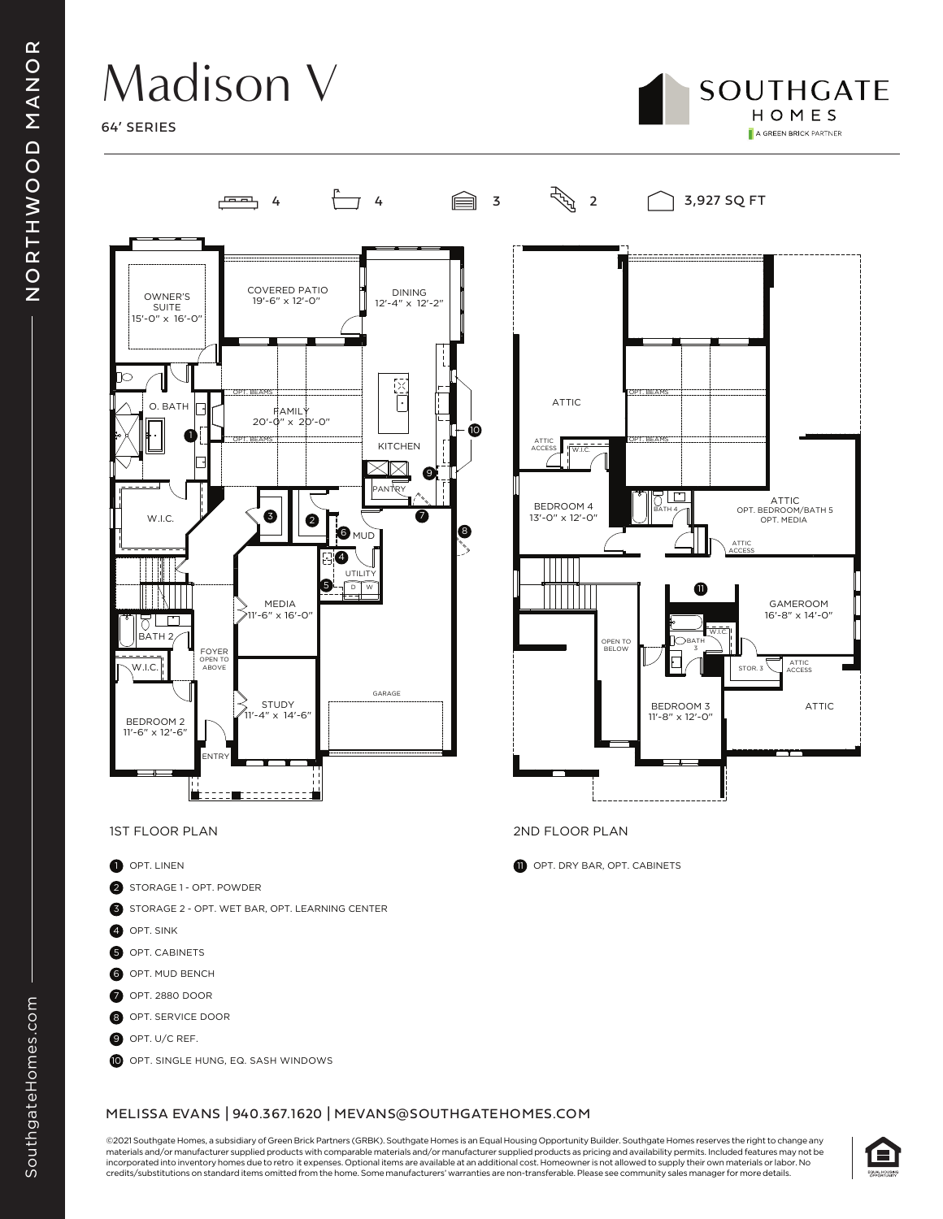## Madison V

64' SERIES





- 6 OPT. MUD BENCH
- 7 OPT. 2880 DOOR
- 8 OPT. SERVICE DOOR
- O OPT. U/C REF.
- O OPT. SINGLE HUNG, EQ. SASH WINDOWS

#### MELISSA EVANS | 940.367.1620 | MEVANS@SOUTHGATEHOMES.COM

©2021 Southgate Homes, a subsidiary of Green Brick Partners (GRBK). Southgate Homes is an Equal Housing Opportunity Builder. Southgate Homes reserves the right to change any materials and/or manufacturer supplied products with comparable materials and/or manufacturer supplied products as pricing and availability permits. Included features may not be incorporated into inventory homes due to retro it expenses. Optional items are available at an additional cost. Homeowner is not allowed to supply their own materials or labor. No credits/substitutions on standard items omitted from the home. Some manufacturers' warranties are non-transferable. Please see community sales manager for more details.